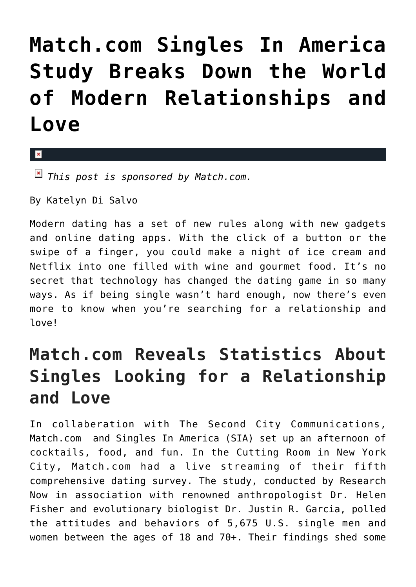## **[Match.com Singles In America](https://cupidspulse.com/86703/match-com-singles-in-america-study-modern-relationships-and-love/) [Study Breaks Down the World](https://cupidspulse.com/86703/match-com-singles-in-america-study-modern-relationships-and-love/) [of Modern Relationships and](https://cupidspulse.com/86703/match-com-singles-in-america-study-modern-relationships-and-love/) [Love](https://cupidspulse.com/86703/match-com-singles-in-america-study-modern-relationships-and-love/)**

 $\mathbf{x}$ 

*This post is sponsored by Match.com.*

By Katelyn Di Salvo

Modern dating has a set of new rules along with new gadgets and online dating apps. With the click of a button or the swipe of a finger, you could make a night of ice cream and Netflix into one filled with wine and gourmet food. It's no secret that technology has changed the dating game in so many ways. As if being single wasn't hard enough, now there's even more to know when you're searching for a relationship and love!

## **Match.com Reveals Statistics About Singles Looking for a Relationship and Love**

In collaberation with The Second City Communications, Match.com and Singles In America (SIA) set up an afternoon of cocktails, food, and fun. In the Cutting Room in New York City, Match.com had a live streaming of their fifth comprehensive dating survey. The study, conducted by Research Now in association with renowned anthropologist Dr. Helen Fisher and evolutionary biologist Dr. Justin R. Garcia, polled the attitudes and behaviors of 5,675 U.S. single men and women between the ages of 18 and 70+. Their findings shed some